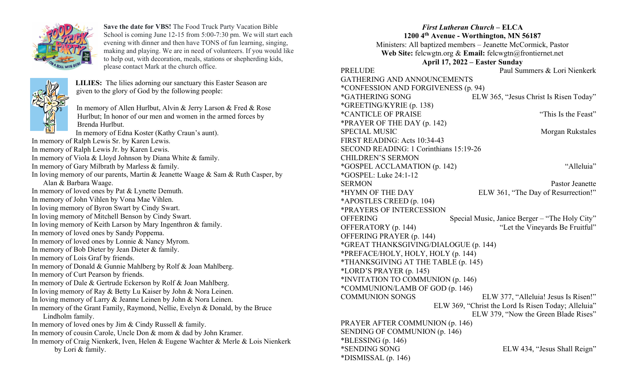

Save the date for VBS! The Food Truck Party Vacation Bible School is coming June 12-15 from 5:00-7:30 pm. We will start each evening with dinner and then have TONS of fun learning, singing, making and playing. We are in need of volunteers. If you would like to help out, with decoration, meals, stations or shepherding kids, please contact Mark at the church office.



In memory of Allen Hurlbut, Alvin & Jerry Larson & Fred & Rose Hurlbut; In honor of our men and women in the armed forces by Brenda Hurlbut. In memory of Edna Koster (Kathy Craun's aunt). In memory of Ralph Lewis Sr. by Karen Lewis. In memory of Ralph Lewis Jr. by Karen Lewis. In memory of Viola & Lloyd Johnson by Diana White & family. In memory of Gary Milbrath by Marless & family. In loving memory of our parents, Martin & Jeanette Waage & Sam & Ruth Casper, by Alan & Barbara Waage. In memory of loved ones by Pat & Lynette Demuth. In memory of John Vihlen by Vona Mae Vihlen. In loving memory of Byron Swart by Cindy Swart. In loving memory of Mitchell Benson by Cindy Swart. In loving memory of Keith Larson by Mary Ingenthron & family. In memory of loved ones by Sandy Poppema. In memory of loved ones by Lonnie & Nancy Myrom. In memory of Bob Dieter by Jean Dieter & family. In memory of Lois Graf by friends. In memory of Donald & Gunnie Mahlberg by Rolf & Joan Mahlberg. In memory of Curt Pearson by friends. In memory of Dale & Gertrude Eckerson by Rolf & Joan Mahlberg. In loving memory of Ray & Betty Lu Kaiser by John & Nora Leinen. In loving memory of Larry & Jeanne Leinen by John & Nora Leinen. In memory of the Grant Family, Raymond, Nellie, Evelyn & Donald, by the Bruce Lindholm family. In memory of loved ones by Jim & Cindy Russell & family. In memory of cousin Carole, Uncle Don & mom & dad by John Kramer. In memory of Craig Nienkerk, Iven, Helen & Eugene Wachter & Merle & Lois Nienkerk by Lori & family.

LILIES: The lilies adorning our sanctuary this Easter Season are

given to the glory of God by the following people:

## First Lutheran Church – ELCA 1200 4th Avenue - Worthington, MN 56187 Ministers: All baptized members – Jeanette McCormick, Pastor Web Site: felcwgtn.org & Email: felcwgtn@frontiernet.net April 17, 2022 – Easter Sunday PRELUDE PAUL Summers & Lori Nienkerk GATHERING AND ANNOUNCEMENTS \*CONFESSION AND FORGIVENESS (p. 94) \*GATHERING SONG ELW 365, "Jesus Christ Is Risen Today" \*GREETING/KYRIE (p. 138) \*CANTICLE OF PRAISE "This Is the Feast" \*PRAYER OF THE DAY (p. 142) SPECIAL MUSIC Morgan Rukstales FIRST READING: Acts 10:34-43 SECOND READING: 1 Corinthians 15:19-26 CHILDREN'S SERMON \*GOSPEL ACCLAMATION (p. 142) "Alleluia" \*GOSPEL: Luke 24:1-12 SERMON Pastor Jeanette \*HYMN OF THE DAY ELW 361, "The Day of Resurrection!" \*APOSTLES CREED (p. 104) \*PRAYERS OF INTERCESSION OFFERING Special Music, Janice Berger – "The Holy City" OFFERATORY (p. 144) <br>
"Let the Vineyards Be Fruitful" OFFERING PRAYER (p. 144) \*GREAT THANKSGIVING/DIALOGUE (p. 144) \*PREFACE/HOLY, HOLY, HOLY (p. 144) \*THANKSGIVING AT THE TABLE (p. 145) \*LORD'S PRAYER (p. 145) \*INVITATION TO COMMUNION (p. 146) \*COMMUNION/LAMB OF GOD (p. 146) COMMUNION SONGS ELW 377, "Alleluia! Jesus Is Risen!" ELW 369, "Christ the Lord Is Risen Today; Alleluia" ELW 379, "Now the Green Blade Rises" PRAYER AFTER COMMUNION (p. 146) SENDING OF COMMUNION (p. 146)  $*BLESSING (p. 146)$ \*SENDING SONG ELW 434, "Jesus Shall Reign" \*DISMISSAL (p. 146)